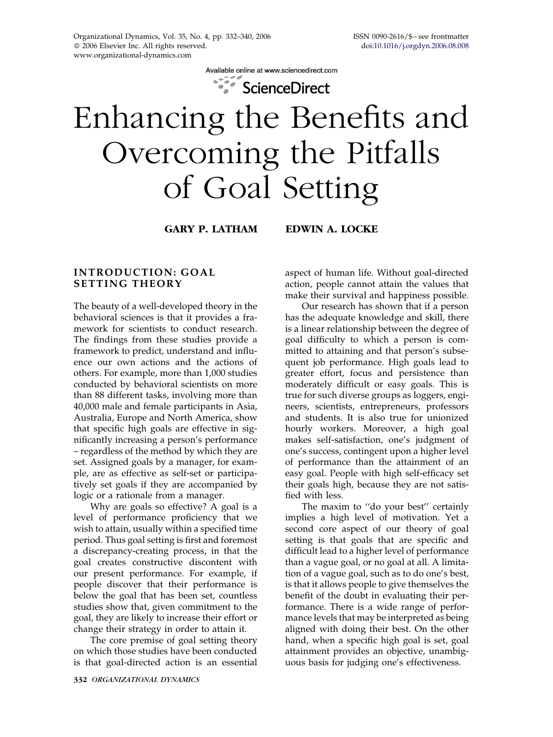Available online at www.sciencedirect.com

# ScienceDirect Enhancing the Benefits and Overcoming the Pitfalls of Goal Setting

GARY P. LATHAM EDWIN A. LOCKE

### INTRODUCTION: GOAL SETTING THEORY

The beauty of a well-developed theory in the behavioral sciences is that it provides a framework for scientists to conduct research. The findings from these studies provide a framework to predict, understand and influence our own actions and the actions of others. For example, more than 1,000 studies conducted by behavioral scientists on more than 88 different tasks, involving more than 40,000 male and female participants in Asia, Australia, Europe and North America, show that specific high goals are effective in significantly increasing a person's performance – regardless of the method by which they are set. Assigned goals by a manager, for example, are as effective as self-set or participatively set goals if they are accompanied by logic or a rationale from a manager.

Why are goals so effective? A goal is a level of performance proficiency that we wish to attain, usually within a specified time period. Thus goal setting is first and foremost a discrepancy-creating process, in that the goal creates constructive discontent with our present performance. For example, if people discover that their performance is below the goal that has been set, countless studies show that, given commitment to the goal, they are likely to increase their effort or change their strategy in order to attain it.

The core premise of goal setting theory on which those studies have been conducted is that goal-directed action is an essential aspect of human life. Without goal-directed action, people cannot attain the values that make their survival and happiness possible.

Our research has shown that if a person has the adequate knowledge and skill, there is a linear relationship between the degree of goal difficulty to which a person is committed to attaining and that person's subsequent job performance. High goals lead to greater effort, focus and persistence than moderately difficult or easy goals. This is true for such diverse groups as loggers, engineers, scientists, entrepreneurs, professors and students. It is also true for unionized hourly workers. Moreover, a high goal makes self-satisfaction, one's judgment of one's success, contingent upon a higher level of performance than the attainment of an easy goal. People with high self-efficacy set their goals high, because they are not satisfied with less.

The maxim to ''do your best'' certainly implies a high level of motivation. Yet a second core aspect of our theory of goal setting is that goals that are specific and difficult lead to a higher level of performance than a vague goal, or no goal at all. A limitation of a vague goal, such as to do one's best, is that it allows people to give themselves the benefit of the doubt in evaluating their performance. There is a wide range of performance levels that may be interpreted as being aligned with doing their best. On the other hand, when a specific high goal is set, goal attainment provides an objective, unambiguous basis for judging one's effectiveness.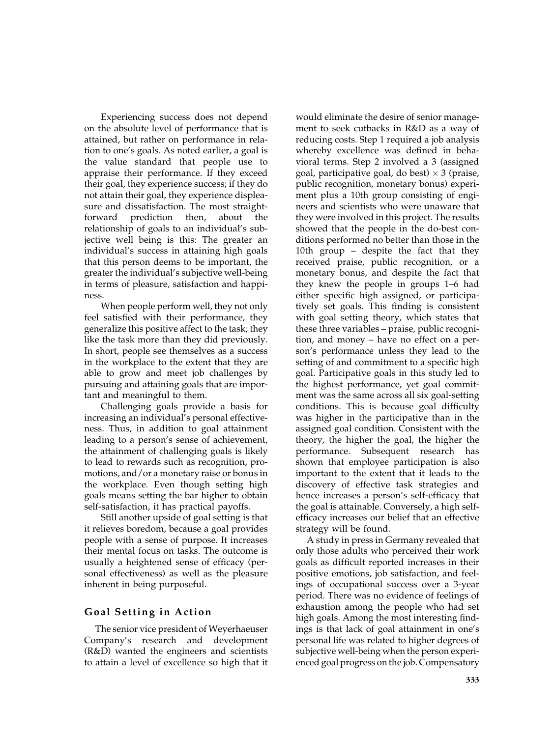Experiencing success does not depend on the absolute level of performance that is attained, but rather on performance in relation to one's goals. As noted earlier, a goal is the value standard that people use to appraise their performance. If they exceed their goal, they experience success; if they do not attain their goal, they experience displeasure and dissatisfaction. The most straightforward prediction then, about the relationship of goals to an individual's subjective well being is this: The greater an individual's success in attaining high goals that this person deems to be important, the greater the individual's subjective well-being in terms of pleasure, satisfaction and happiness.

When people perform well, they not only feel satisfied with their performance, they generalize this positive affect to the task; they like the task more than they did previously. In short, people see themselves as a success in the workplace to the extent that they are able to grow and meet job challenges by pursuing and attaining goals that are important and meaningful to them.

Challenging goals provide a basis for increasing an individual's personal effectiveness. Thus, in addition to goal attainment leading to a person's sense of achievement, the attainment of challenging goals is likely to lead to rewards such as recognition, promotions, and/or a monetary raise or bonus in the workplace. Even though setting high goals means setting the bar higher to obtain self-satisfaction, it has practical payoffs.

Still another upside of goal setting is that it relieves boredom, because a goal provides people with a sense of purpose. It increases their mental focus on tasks. The outcome is usually a heightened sense of efficacy (personal effectiveness) as well as the pleasure inherent in being purposeful.

## Goal Setting in Action

The senior vice president of Weyerhaeuser Company's research and development (R&D) wanted the engineers and scientists to attain a level of excellence so high that it

would eliminate the desire of senior management to seek cutbacks in R&D as a way of reducing costs. Step 1 required a job analysis whereby excellence was defined in behavioral terms. Step 2 involved a 3 (assigned goal, participative goal, do best)  $\times$  3 (praise, public recognition, monetary bonus) experiment plus a 10th group consisting of engineers and scientists who were unaware that they were involved in this project. The results showed that the people in the do-best conditions performed no better than those in the 10th group – despite the fact that they received praise, public recognition, or a monetary bonus, and despite the fact that they knew the people in groups 1–6 had either specific high assigned, or participatively set goals. This finding is consistent with goal setting theory, which states that these three variables – praise, public recognition, and money – have no effect on a person's performance unless they lead to the setting of and commitment to a specific high goal. Participative goals in this study led to the highest performance, yet goal commitment was the same across all six goal-setting conditions. This is because goal difficulty was higher in the participative than in the assigned goal condition. Consistent with the theory, the higher the goal, the higher the performance. Subsequent research has shown that employee participation is also important to the extent that it leads to the discovery of effective task strategies and hence increases a person's self-efficacy that the goal is attainable. Conversely, a high selfefficacy increases our belief that an effective strategy will be found.

A study in press in Germany revealed that only those adults who perceived their work goals as difficult reported increases in their positive emotions, job satisfaction, and feelings of occupational success over a 3-year period. There was no evidence of feelings of exhaustion among the people who had set high goals. Among the most interesting findings is that lack of goal attainment in one's personal life was related to higher degrees of subjective well-being when the person experienced goal progress on the job. Compensatory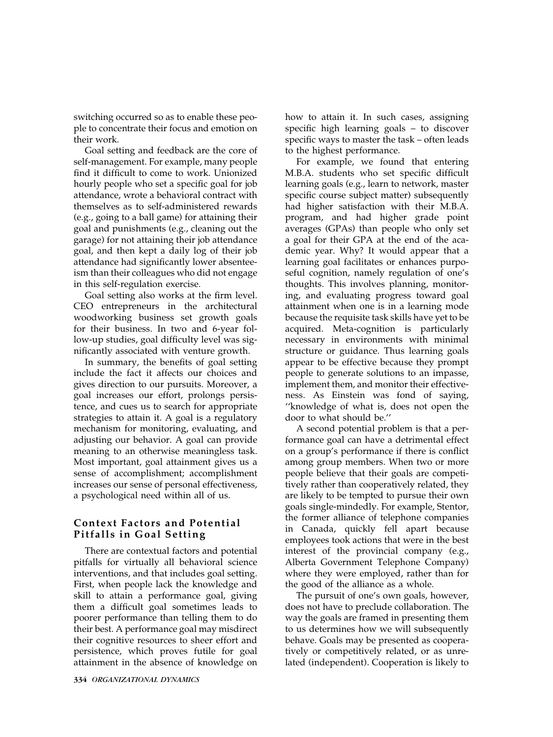switching occurred so as to enable these people to concentrate their focus and emotion on their work.

Goal setting and feedback are the core of self-management. For example, many people find it difficult to come to work. Unionized hourly people who set a specific goal for job attendance, wrote a behavioral contract with themselves as to self-administered rewards (e.g., going to a ball game) for attaining their goal and punishments (e.g., cleaning out the garage) for not attaining their job attendance goal, and then kept a daily log of their job attendance had significantly lower absenteeism than their colleagues who did not engage in this self-regulation exercise.

Goal setting also works at the firm level. CEO entrepreneurs in the architectural woodworking business set growth goals for their business. In two and 6-year follow-up studies, goal difficulty level was significantly associated with venture growth.

In summary, the benefits of goal setting include the fact it affects our choices and gives direction to our pursuits. Moreover, a goal increases our effort, prolongs persistence, and cues us to search for appropriate strategies to attain it. A goal is a regulatory mechanism for monitoring, evaluating, and adjusting our behavior. A goal can provide meaning to an otherwise meaningless task. Most important, goal attainment gives us a sense of accomplishment; accomplishment increases our sense of personal effectiveness, a psychological need within all of us.

#### Context Factors and Potential Pitfalls in Goal Setting

There are contextual factors and potential pitfalls for virtually all behavioral science interventions, and that includes goal setting. First, when people lack the knowledge and skill to attain a performance goal, giving them a difficult goal sometimes leads to poorer performance than telling them to do their best. A performance goal may misdirect their cognitive resources to sheer effort and persistence, which proves futile for goal attainment in the absence of knowledge on how to attain it. In such cases, assigning specific high learning goals – to discover specific ways to master the task – often leads to the highest performance.

For example, we found that entering M.B.A. students who set specific difficult learning goals (e.g., learn to network, master specific course subject matter) subsequently had higher satisfaction with their M.B.A. program, and had higher grade point averages (GPAs) than people who only set a goal for their GPA at the end of the academic year. Why? It would appear that a learning goal facilitates or enhances purposeful cognition, namely regulation of one's thoughts. This involves planning, monitoring, and evaluating progress toward goal attainment when one is in a learning mode because the requisite task skills have yet to be acquired. Meta-cognition is particularly necessary in environments with minimal structure or guidance. Thus learning goals appear to be effective because they prompt people to generate solutions to an impasse, implement them, and monitor their effectiveness. As Einstein was fond of saying, ''knowledge of what is, does not open the door to what should be.''

A second potential problem is that a performance goal can have a detrimental effect on a group's performance if there is conflict among group members. When two or more people believe that their goals are competitively rather than cooperatively related, they are likely to be tempted to pursue their own goals single-mindedly. For example, Stentor, the former alliance of telephone companies in Canada, quickly fell apart because employees took actions that were in the best interest of the provincial company (e.g., Alberta Government Telephone Company) where they were employed, rather than for the good of the alliance as a whole.

The pursuit of one's own goals, however, does not have to preclude collaboration. The way the goals are framed in presenting them to us determines how we will subsequently behave. Goals may be presented as cooperatively or competitively related, or as unrelated (independent). Cooperation is likely to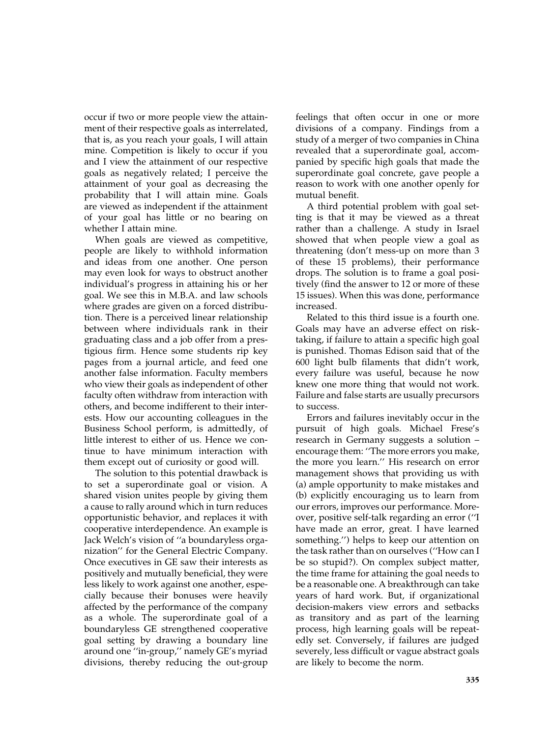occur if two or more people view the attainment of their respective goals as interrelated, that is, as you reach your goals, I will attain mine. Competition is likely to occur if you and I view the attainment of our respective goals as negatively related; I perceive the attainment of your goal as decreasing the probability that I will attain mine. Goals are viewed as independent if the attainment of your goal has little or no bearing on whether I attain mine.

When goals are viewed as competitive, people are likely to withhold information and ideas from one another. One person may even look for ways to obstruct another individual's progress in attaining his or her goal. We see this in M.B.A. and law schools where grades are given on a forced distribution. There is a perceived linear relationship between where individuals rank in their graduating class and a job offer from a prestigious firm. Hence some students rip key pages from a journal article, and feed one another false information. Faculty members who view their goals as independent of other faculty often withdraw from interaction with others, and become indifferent to their interests. How our accounting colleagues in the Business School perform, is admittedly, of little interest to either of us. Hence we continue to have minimum interaction with them except out of curiosity or good will.

The solution to this potential drawback is to set a superordinate goal or vision. A shared vision unites people by giving them a cause to rally around which in turn reduces opportunistic behavior, and replaces it with cooperative interdependence. An example is Jack Welch's vision of ''a boundaryless organization'' for the General Electric Company. Once executives in GE saw their interests as positively and mutually beneficial, they were less likely to work against one another, especially because their bonuses were heavily affected by the performance of the company as a whole. The superordinate goal of a boundaryless GE strengthened cooperative goal setting by drawing a boundary line around one ''in-group,'' namely GE's myriad divisions, thereby reducing the out-group

feelings that often occur in one or more divisions of a company. Findings from a study of a merger of two companies in China revealed that a superordinate goal, accompanied by specific high goals that made the superordinate goal concrete, gave people a reason to work with one another openly for mutual benefit.

A third potential problem with goal setting is that it may be viewed as a threat rather than a challenge. A study in Israel showed that when people view a goal as threatening (don't mess-up on more than 3 of these 15 problems), their performance drops. The solution is to frame a goal positively (find the answer to 12 or more of these 15 issues). When this was done, performance increased.

Related to this third issue is a fourth one. Goals may have an adverse effect on risktaking, if failure to attain a specific high goal is punished. Thomas Edison said that of the 600 light bulb filaments that didn't work, every failure was useful, because he now knew one more thing that would not work. Failure and false starts are usually precursors to success.

Errors and failures inevitably occur in the pursuit of high goals. Michael Frese's research in Germany suggests a solution – encourage them: ''The more errors you make, the more you learn.'' His research on error management shows that providing us with (a) ample opportunity to make mistakes and (b) explicitly encouraging us to learn from our errors, improves our performance. Moreover, positive self-talk regarding an error (''I have made an error, great. I have learned something.'') helps to keep our attention on the task rather than on ourselves (''How can I be so stupid?). On complex subject matter, the time frame for attaining the goal needs to be a reasonable one. A breakthrough can take years of hard work. But, if organizational decision-makers view errors and setbacks as transitory and as part of the learning process, high learning goals will be repeatedly set. Conversely, if failures are judged severely, less difficult or vague abstract goals are likely to become the norm.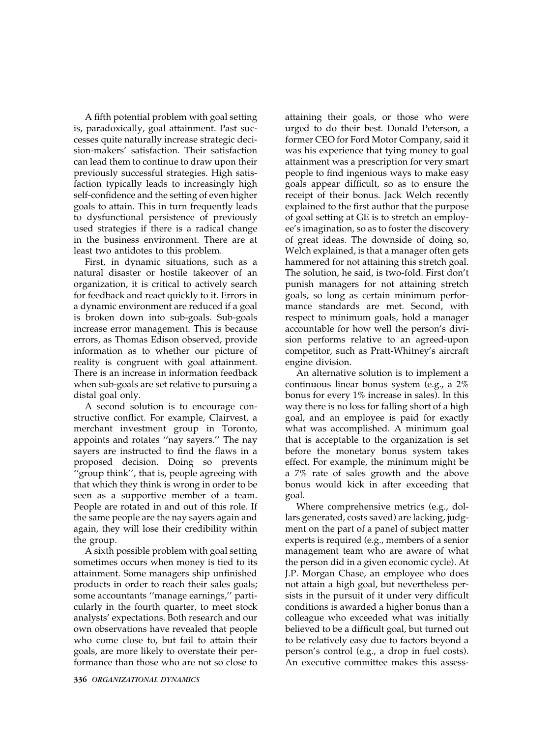A fifth potential problem with goal setting is, paradoxically, goal attainment. Past successes quite naturally increase strategic decision-makers' satisfaction. Their satisfaction can lead them to continue to draw upon their previously successful strategies. High satisfaction typically leads to increasingly high self-confidence and the setting of even higher goals to attain. This in turn frequently leads to dysfunctional persistence of previously used strategies if there is a radical change in the business environment. There are at least two antidotes to this problem.

First, in dynamic situations, such as a natural disaster or hostile takeover of an organization, it is critical to actively search for feedback and react quickly to it. Errors in a dynamic environment are reduced if a goal is broken down into sub-goals. Sub-goals increase error management. This is because errors, as Thomas Edison observed, provide information as to whether our picture of reality is congruent with goal attainment. There is an increase in information feedback when sub-goals are set relative to pursuing a distal goal only.

A second solution is to encourage constructive conflict. For example, Clairvest, a merchant investment group in Toronto, appoints and rotates ''nay sayers.'' The nay sayers are instructed to find the flaws in a proposed decision. Doing so prevents 'group think", that is, people agreeing with that which they think is wrong in order to be seen as a supportive member of a team. People are rotated in and out of this role. If the same people are the nay sayers again and again, they will lose their credibility within the group.

A sixth possible problem with goal setting sometimes occurs when money is tied to its attainment. Some managers ship unfinished products in order to reach their sales goals; some accountants ''manage earnings,'' particularly in the fourth quarter, to meet stock analysts' expectations. Both research and our own observations have revealed that people who come close to, but fail to attain their goals, are more likely to overstate their performance than those who are not so close to

attaining their goals, or those who were urged to do their best. Donald Peterson, a former CEO for Ford Motor Company, said it was his experience that tying money to goal attainment was a prescription for very smart people to find ingenious ways to make easy goals appear difficult, so as to ensure the receipt of their bonus. Jack Welch recently explained to the first author that the purpose of goal setting at GE is to stretch an employee's imagination, so as to foster the discovery of great ideas. The downside of doing so, Welch explained, is that a manager often gets hammered for not attaining this stretch goal. The solution, he said, is two-fold. First don't punish managers for not attaining stretch goals, so long as certain minimum performance standards are met. Second, with respect to minimum goals, hold a manager accountable for how well the person's division performs relative to an agreed-upon competitor, such as Pratt-Whitney's aircraft engine division.

An alternative solution is to implement a continuous linear bonus system (e.g., a 2% bonus for every 1% increase in sales). In this way there is no loss for falling short of a high goal, and an employee is paid for exactly what was accomplished. A minimum goal that is acceptable to the organization is set before the monetary bonus system takes effect. For example, the minimum might be a 7% rate of sales growth and the above bonus would kick in after exceeding that goal.

Where comprehensive metrics (e.g., dollars generated, costs saved) are lacking, judgment on the part of a panel of subject matter experts is required (e.g., members of a senior management team who are aware of what the person did in a given economic cycle). At J.P. Morgan Chase, an employee who does not attain a high goal, but nevertheless persists in the pursuit of it under very difficult conditions is awarded a higher bonus than a colleague who exceeded what was initially believed to be a difficult goal, but turned out to be relatively easy due to factors beyond a person's control (e.g., a drop in fuel costs). An executive committee makes this assess-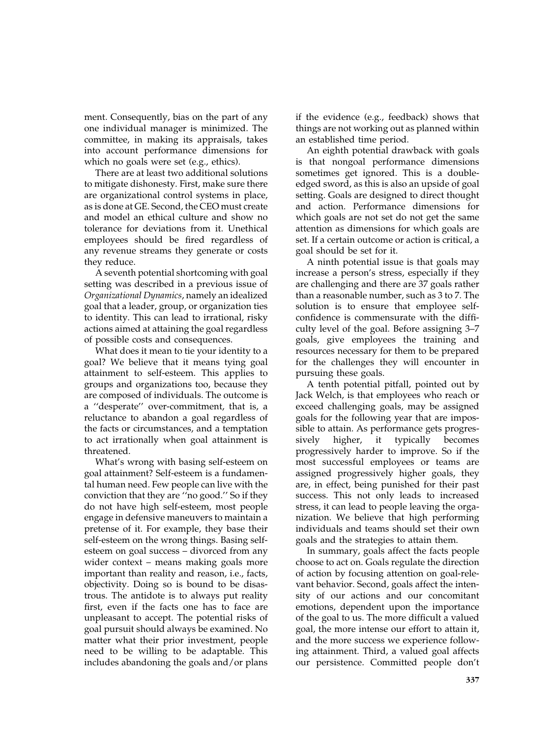ment. Consequently, bias on the part of any one individual manager is minimized. The committee, in making its appraisals, takes into account performance dimensions for which no goals were set (e.g., ethics).

There are at least two additional solutions to mitigate dishonesty. First, make sure there are organizational control systems in place, as is done at GE. Second, the CEO must create and model an ethical culture and show no tolerance for deviations from it. Unethical employees should be fired regardless of any revenue streams they generate or costs they reduce.

A seventh potential shortcoming with goal setting was described in a previous issue of Organizational Dynamics, namely an idealized goal that a leader, group, or organization ties to identity. This can lead to irrational, risky actions aimed at attaining the goal regardless of possible costs and consequences.

What does it mean to tie your identity to a goal? We believe that it means tying goal attainment to self-esteem. This applies to groups and organizations too, because they are composed of individuals. The outcome is a ''desperate'' over-commitment, that is, a reluctance to abandon a goal regardless of the facts or circumstances, and a temptation to act irrationally when goal attainment is threatened.

What's wrong with basing self-esteem on goal attainment? Self-esteem is a fundamental human need. Few people can live with the conviction that they are ''no good.'' So if they do not have high self-esteem, most people engage in defensive maneuvers to maintain a pretense of it. For example, they base their self-esteem on the wrong things. Basing selfesteem on goal success – divorced from any wider context – means making goals more important than reality and reason, i.e., facts, objectivity. Doing so is bound to be disastrous. The antidote is to always put reality first, even if the facts one has to face are unpleasant to accept. The potential risks of goal pursuit should always be examined. No matter what their prior investment, people need to be willing to be adaptable. This includes abandoning the goals and/or plans

if the evidence (e.g., feedback) shows that things are not working out as planned within an established time period.

An eighth potential drawback with goals is that nongoal performance dimensions sometimes get ignored. This is a doubleedged sword, as this is also an upside of goal setting. Goals are designed to direct thought and action. Performance dimensions for which goals are not set do not get the same attention as dimensions for which goals are set. If a certain outcome or action is critical, a goal should be set for it.

A ninth potential issue is that goals may increase a person's stress, especially if they are challenging and there are 37 goals rather than a reasonable number, such as 3 to 7. The solution is to ensure that employee selfconfidence is commensurate with the difficulty level of the goal. Before assigning 3–7 goals, give employees the training and resources necessary for them to be prepared for the challenges they will encounter in pursuing these goals.

A tenth potential pitfall, pointed out by Jack Welch, is that employees who reach or exceed challenging goals, may be assigned goals for the following year that are impossible to attain. As performance gets progressively higher, it typically becomes progressively harder to improve. So if the most successful employees or teams are assigned progressively higher goals, they are, in effect, being punished for their past success. This not only leads to increased stress, it can lead to people leaving the organization. We believe that high performing individuals and teams should set their own goals and the strategies to attain them.

In summary, goals affect the facts people choose to act on. Goals regulate the direction of action by focusing attention on goal-relevant behavior. Second, goals affect the intensity of our actions and our concomitant emotions, dependent upon the importance of the goal to us. The more difficult a valued goal, the more intense our effort to attain it, and the more success we experience following attainment. Third, a valued goal affects our persistence. Committed people don't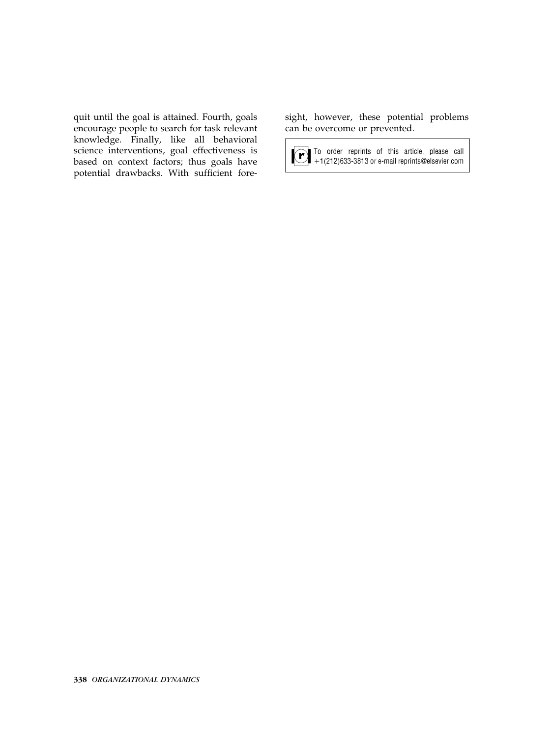quit until the goal is attained. Fourth, goals encourage people to search for task relevant knowledge. Finally, like all behavioral science interventions, goal effectiveness is based on context factors; thus goals have potential drawbacks. With sufficient foresight, however, these potential problems can be overcome or prevented.

To order reprints of this article, please call<br>+1(212)633-3813 or e-mail reprints@elsevier.com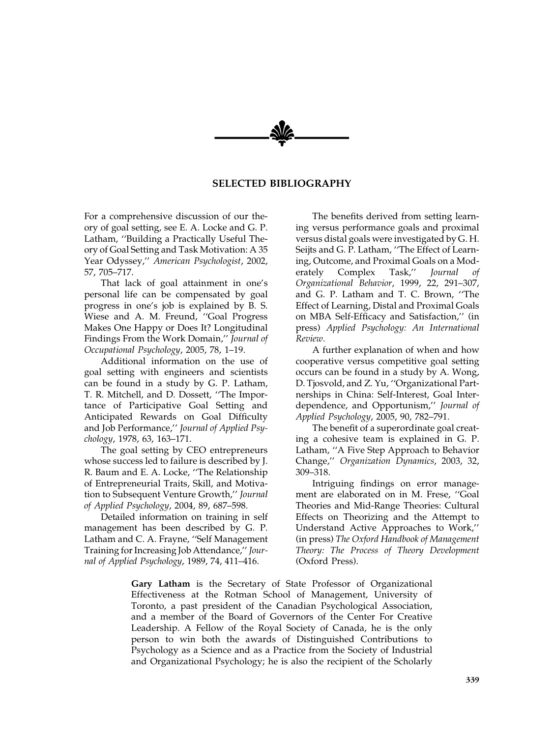

#### SELECTED BIBLIOGRAPHY

For a comprehensive discussion of our theory of goal setting, see E. A. Locke and G. P. Latham, ''Building a Practically Useful Theory of Goal Setting and Task Motivation: A 35 Year Odyssey,'' American Psychologist, 2002, 57, 705–717.

That lack of goal attainment in one's personal life can be compensated by goal progress in one's job is explained by B. S. Wiese and A. M. Freund, ''Goal Progress Makes One Happy or Does It? Longitudinal Findings From the Work Domain,'' Journal of Occupational Psychology, 2005, 78, 1–19.

Additional information on the use of goal setting with engineers and scientists can be found in a study by G. P. Latham, T. R. Mitchell, and D. Dossett, ''The Importance of Participative Goal Setting and Anticipated Rewards on Goal Difficulty and Job Performance,'' Journal of Applied Psychology, 1978, 63, 163–171.

The goal setting by CEO entrepreneurs whose success led to failure is described by J. R. Baum and E. A. Locke, ''The Relationship of Entrepreneurial Traits, Skill, and Motivation to Subsequent Venture Growth,'' Journal of Applied Psychology, 2004, 89, 687–598.

Detailed information on training in self management has been described by G. P. Latham and C. A. Frayne, ''Self Management Training for Increasing Job Attendance,'' Journal of Applied Psychology, 1989, 74, 411–416.

The benefits derived from setting learning versus performance goals and proximal versus distal goals were investigated by G. H. Seijts and G. P. Latham, ''The Effect of Learning, Outcome, and Proximal Goals on a Moderately Complex Task,'' Journal of Organizational Behavior, 1999, 22, 291–307, and G. P. Latham and T. C. Brown, ''The Effect of Learning, Distal and Proximal Goals on MBA Self-Efficacy and Satisfaction,'' (in press) Applied Psychology: An International Review.

A further explanation of when and how cooperative versus competitive goal setting occurs can be found in a study by A. Wong, D. Tjosvold, and Z. Yu, ''Organizational Partnerships in China: Self-Interest, Goal Interdependence, and Opportunism,'' Journal of Applied Psychology, 2005, 90, 782–791.

The benefit of a superordinate goal creating a cohesive team is explained in G. P. Latham, ''A Five Step Approach to Behavior Change,'' Organization Dynamics, 2003, 32, 309–318.

Intriguing findings on error management are elaborated on in M. Frese, ''Goal Theories and Mid-Range Theories: Cultural Effects on Theorizing and the Attempt to Understand Active Approaches to Work,'' (in press) The Oxford Handbook of Management Theory: The Process of Theory Development (Oxford Press).

Gary Latham is the Secretary of State Professor of Organizational Effectiveness at the Rotman School of Management, University of Toronto, a past president of the Canadian Psychological Association, and a member of the Board of Governors of the Center For Creative Leadership. A Fellow of the Royal Society of Canada, he is the only person to win both the awards of Distinguished Contributions to Psychology as a Science and as a Practice from the Society of Industrial and Organizational Psychology; he is also the recipient of the Scholarly